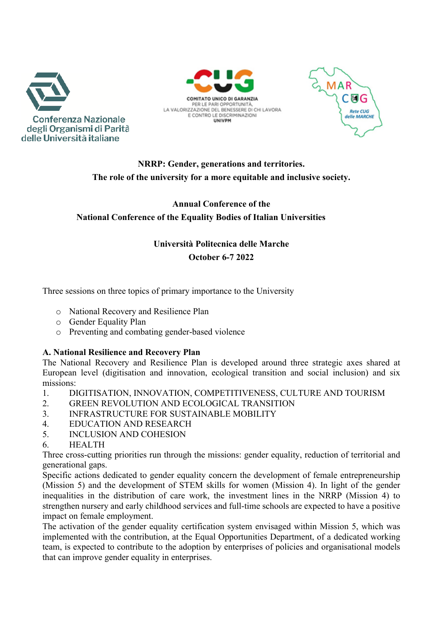





# **NRRP: Gender, generations and territories. The role of the university for a more equitable and inclusive society.**

## **Annual Conference of the National Conference of the Equality Bodies of Italian Universities**

## **Università Politecnica delle Marche October 6-7 2022**

Three sessions on three topics of primary importance to the University

- o National Recovery and Resilience Plan
- o Gender Equality Plan
- o Preventing and combating gender-based violence

### **A. National Resilience and Recovery Plan**

The National Recovery and Resilience Plan is developed around three strategic axes shared at European level (digitisation and innovation, ecological transition and social inclusion) and six missions:

- 1. DIGITISATION, INNOVATION, COMPETITIVENESS, CULTURE AND TOURISM
- 2. GREEN REVOLUTION AND ECOLOGICAL TRANSITION
- 3. INFRASTRUCTURE FOR SUSTAINABLE MOBILITY
- 4. EDUCATION AND RESEARCH
- 5. INCLUSION AND COHESION
- 6. HEALTH

Three cross-cutting priorities run through the missions: gender equality, reduction of territorial and generational gaps.

Specific actions dedicated to gender equality concern the development of female entrepreneurship (Mission 5) and the development of STEM skills for women (Mission 4). In light of the gender inequalities in the distribution of care work, the investment lines in the NRRP (Mission 4) to strengthen nursery and early childhood services and full-time schools are expected to have a positive impact on female employment.

The activation of the gender equality certification system envisaged within Mission 5, which was implemented with the contribution, at the Equal Opportunities Department, of a dedicated working team, is expected to contribute to the adoption by enterprises of policies and organisational models that can improve gender equality in enterprises.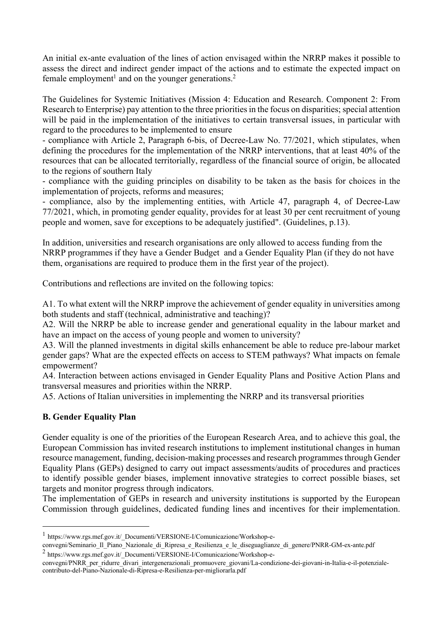An initial ex-ante evaluation of the lines of action envisaged within the NRRP makes it possible to assess the direct and indirect gender impact of the actions and to estimate the expected impact on female employment<sup>1</sup> and on the younger generations.<sup>2</sup>

The Guidelines for Systemic Initiatives (Mission 4: Education and Research. Component 2: From Research to Enterprise) pay attention to the three priorities in the focus on disparities; special attention will be paid in the implementation of the initiatives to certain transversal issues, in particular with regard to the procedures to be implemented to ensure

- compliance with Article 2, Paragraph 6-bis, of Decree-Law No. 77/2021, which stipulates, when defining the procedures for the implementation of the NRRP interventions, that at least 40% of the resources that can be allocated territorially, regardless of the financial source of origin, be allocated to the regions of southern Italy

- compliance with the guiding principles on disability to be taken as the basis for choices in the implementation of projects, reforms and measures;

- compliance, also by the implementing entities, with Article 47, paragraph 4, of Decree-Law 77/2021, which, in promoting gender equality, provides for at least 30 per cent recruitment of young people and women, save for exceptions to be adequately justified". (Guidelines, p.13).

In addition, universities and research organisations are only allowed to access funding from the NRRP programmes if they have a Gender Budget and a Gender Equality Plan (if they do not have them, organisations are required to produce them in the first year of the project).

Contributions and reflections are invited on the following topics:

A1. To what extent will the NRRP improve the achievement of gender equality in universities among both students and staff (technical, administrative and teaching)?

A2. Will the NRRP be able to increase gender and generational equality in the labour market and have an impact on the access of young people and women to university?

A3. Will the planned investments in digital skills enhancement be able to reduce pre-labour market gender gaps? What are the expected effects on access to STEM pathways? What impacts on female empowerment?

A4. Interaction between actions envisaged in Gender Equality Plans and Positive Action Plans and transversal measures and priorities within the NRRP.

A5. Actions of Italian universities in implementing the NRRP and its transversal priorities

### **B. Gender Equality Plan**

Gender equality is one of the priorities of the European Research Area, and to achieve this goal, the European Commission has invited research institutions to implement institutional changes in human resource management, funding, decision-making processes and research programmes through Gender Equality Plans (GEPs) designed to carry out impact assessments/audits of procedures and practices to identify possible gender biases, implement innovative strategies to correct possible biases, set targets and monitor progress through indicators.

The implementation of GEPs in research and university institutions is supported by the European Commission through guidelines, dedicated funding lines and incentives for their implementation.

<sup>1</sup> https://www.rgs.mef.gov.it/\_Documenti/VERSIONE-I/Comunicazione/Workshop-e-

convegni/Seminario Il Piano\_Nazionale di Ripresa e Resilienza e le diseguaglianze di genere/PNRR-GM-ex-ante.pdf <sup>2</sup> https://www.rgs.mef.gov.it/\_Documenti/VERSIONE-I/Comunicazione/Workshop-e-

convegni/PNRR\_per\_ridurre\_divari\_intergenerazionali\_promuovere\_giovani/La-condizione-dei-giovani-in-Italia-e-il-potenzialecontributo-del-Piano-Nazionale-di-Ripresa-e-Resilienza-per-migliorarla.pdf